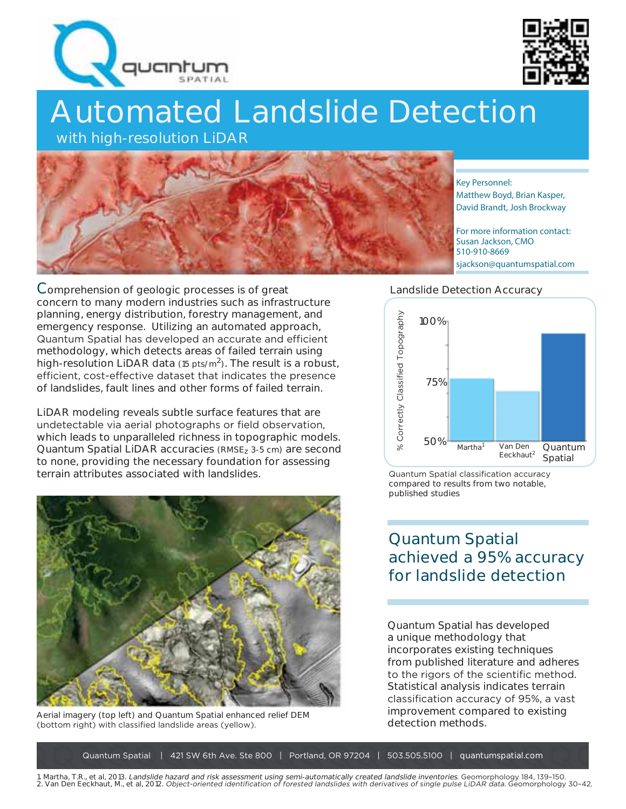



# Automated Landslide Detection

with high-resolution LiDAR



Key Personnel: Matthew Boyd, Brian Kasper, David Brandt, Josh Brockway

For more information contact: Susan Jackson, CMO 510-910-8669 sjackson@quantumspatial.com

#### Landslide Detection Accuracy



Quantum Spatial classification accuracy compared to results from two notable, published studies

## **Quantum Spatial achieved a 95% accuracy for landslide detection**

Quantum Spatial has developed a unique methodology that incorporates existing techniques from published literature and adheres to the rigors of the scientific method. Statistical analysis indicates terrain classification accuracy of 95%, a vast improvement compared to existing detection methods.

**C**omprehension of geologic processes is of great concern to many modern industries such as infrastructure planning, energy distribution, forestry management, and emergency response. Utilizing an automated approach, Quantum Spatial has developed an accurate and efficient methodology, which detects areas of failed terrain using high-resolution LiDAR data  $(15 \text{ pts/m}^2)$ . The result is a robust, efficient, cost-effective dataset that indicates the presence of landslides, fault lines and other forms of failed terrain.

LiDAR modeling reveals subtle surface features that are undetectable via aerial photographs or field observation, which leads to unparalleled richness in topographic models. Quantum Spatial LiDAR accuracies (RMSEz 3-5 cm) are second to none, providing the necessary foundation for assessing terrain attributes associated with landslides.



Aerial imagery (top left) and Quantum Spatial enhanced relief DEM (bottom right) with classified landslide areas (yellow).

Quantum Spatial | 421 SW 6th Ave. Ste 800 | Portland, OR 97204 | 503.505.5100 | quantumspatial.com

1. Martha, T.R., et al, 2013. Landslide hazard and risk assessment using semi-automatically created landslide inventories. Geomorphology 184, 139-150. 2. Van Den Eeckhaut, M., et al, 2012. Object-oriented identification of forested landslides with derivatives of single pulse LiDAR data. Geomorphology 30-42.